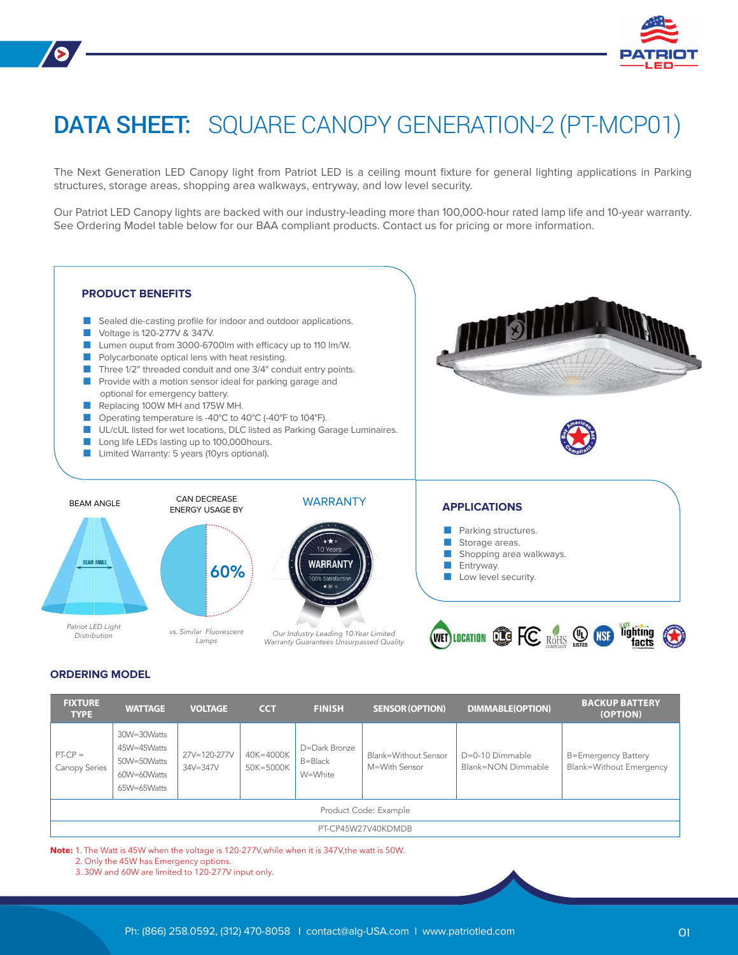

# DATA SHEET: SQUARE CANOPY GENERATION-2 (PT-MCP01)

The Next Generation LED Canopy light from Patriot LED is a ceiling mount fixture for general lighting applications in Parking structures, storage areas, shopping area walkways, entryway, and low level security.

Our Patriot LED Canopy lights are backed with our industry-leading more than 100,000-hour rated lamp life and 10-year warranty. See Ordering Model table below for our BAA compliant products. Contact us for pricing or more information.



### **ORDERING MODEL**

| <b>FIXTURE</b><br><b>TYPE</b> | <b>WATTAGE</b>                                                          | <b>VOLTAGE</b>               | <b>CCT</b>             | <b>FINISH</b>                       | <b>SENSOR (OPTION)</b>                | <b>DIMMABLE(OPTION)</b>               | <b>BACKUP BATTERY</b><br>(OPTION)                            |  |
|-------------------------------|-------------------------------------------------------------------------|------------------------------|------------------------|-------------------------------------|---------------------------------------|---------------------------------------|--------------------------------------------------------------|--|
| $PT-CP =$<br>Canopy Series    | 30W=30Watts<br>45W=45Watts<br>50W=50Watts<br>60W=60Watts<br>65W=65Watts | 27V=120-277V<br>$34V = 347V$ | 40K=4000K<br>50K=5000K | D=Dark Bronze<br>B=Black<br>W=White | Blank=Without Sensor<br>M=With Sensor | D=0-10 Dimmable<br>Blank=NON Dimmable | <b>B=Emergency Battery</b><br><b>Blank=Without Emergency</b> |  |
| Product Code: Example         |                                                                         |                              |                        |                                     |                                       |                                       |                                                              |  |
| PT-CP45W27V40KDMDB            |                                                                         |                              |                        |                                     |                                       |                                       |                                                              |  |

Note: 1. The Watt is 45W when the voltage is 120-277V, while when it is 347V, the watt is 50W.

2. Only the 45W has Emergency options.

3. 30W and 60W are limited to 120-277V input only.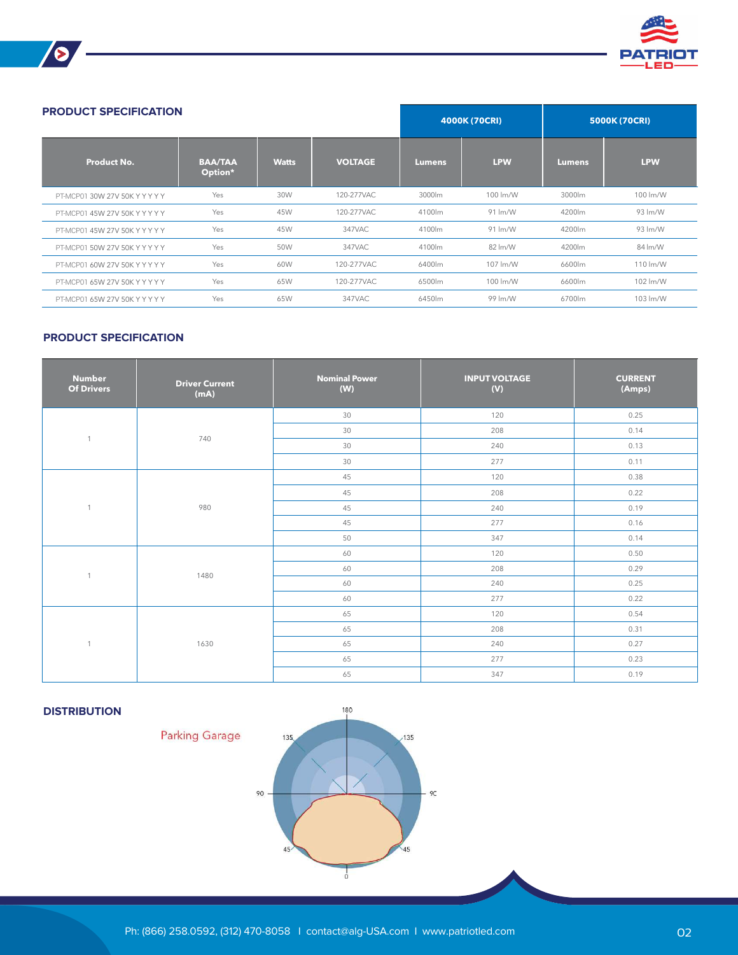

| <b>PRODUCT SPECIFICATION</b>   |                           |              |                |               | 4000K (70CRI) |               | 5000K (70CRI) |  |
|--------------------------------|---------------------------|--------------|----------------|---------------|---------------|---------------|---------------|--|
| Product No.                    | <b>BAA/TAA</b><br>Option* | <b>Watts</b> | <b>VOLTAGE</b> | <b>Lumens</b> | <b>LPW</b>    | <b>Lumens</b> | <b>LPW</b>    |  |
| PT-MCP01 30W 27V 50K Y Y Y Y Y | Yes                       | 30W          | 120-277VAC     | 3000lm        | 100 lm/W      | 3000lm        | 100 lm/W      |  |
| PT-MCP01 45W 27V 50K Y Y Y Y Y | Yes                       | 45W          | 120-277VAC     | 4100lm        | 91 lm/W       | 4200lm        | 93 lm/W       |  |
| PT-MCP01 45W 27V 50K Y Y Y Y Y | Yes                       | 45W          | 347VAC         | 4100lm        | 91 lm/W       | 4200lm        | 93 lm/W       |  |
| PT-MCP01 50W 27V 50K Y Y Y Y Y | Yes                       | 50W          | 347VAC         | 4100lm        | 82 lm/W       | 4200lm        | 84 lm/W       |  |
| PT-MCP01 60W 27V 50K Y Y Y Y Y | Yes                       | 60W          | 120-277VAC     | 6400lm        | 107 lm/W      | 6600lm        | 110 lm/W      |  |
| PT-MCP01 65W 27V 50K Y Y Y Y Y | Yes                       | 65W          | 120-277VAC     | 6500lm        | 100 lm/W      | 6600lm        | 102 lm/W      |  |
| PT-MCP01 65W 27V 50K Y Y Y Y Y | Yes                       | 65W          | 347VAC         | 6450lm        | 99 lm/W       | 6700lm        | 103 lm/W      |  |

## **PRODUCT SPECIFICATION**

**S** 

| <b>Number</b><br><b>Of Drivers</b> | <b>Driver Current</b><br>(mA) | <b>Nominal Power</b><br>(W) | <b>INPUT VOLTAGE</b><br>(V) | <b>CURRENT</b><br>(Amps) |
|------------------------------------|-------------------------------|-----------------------------|-----------------------------|--------------------------|
| $\mathbf{1}$                       | 740                           | 30                          | 120                         | 0.25                     |
|                                    |                               | 30                          | 208                         | 0.14                     |
|                                    |                               | 30                          | 240                         | 0.13                     |
|                                    |                               | 30                          | 277                         | 0.11                     |
| $\mathbf{1}$                       |                               | 45                          | 120                         | 0.38                     |
|                                    | 980                           | 45                          | 208                         | 0.22                     |
|                                    |                               | 45                          | 240                         | 0.19                     |
|                                    |                               | 45                          | 277                         | 0.16                     |
|                                    |                               | 50                          | 347                         | 0.14                     |
| $\mathbf{1}$                       |                               | 60                          | 120                         | 0.50                     |
|                                    | 1480                          | 60                          | 208                         | 0.29                     |
|                                    |                               | 60                          | 240                         | 0.25                     |
|                                    |                               | 60                          | 277                         | 0.22                     |
| $\mathbf{1}$                       |                               | 65                          | 120                         | 0.54                     |
|                                    | 1630                          | 65                          | 208                         | 0.31                     |
|                                    |                               | 65                          | 240                         | 0.27                     |
|                                    |                               | 65                          | 277                         | 0.23                     |
|                                    |                               | 65                          | 347                         | 0.19                     |

# **DISTRIBUTION**

**Parking Garage**